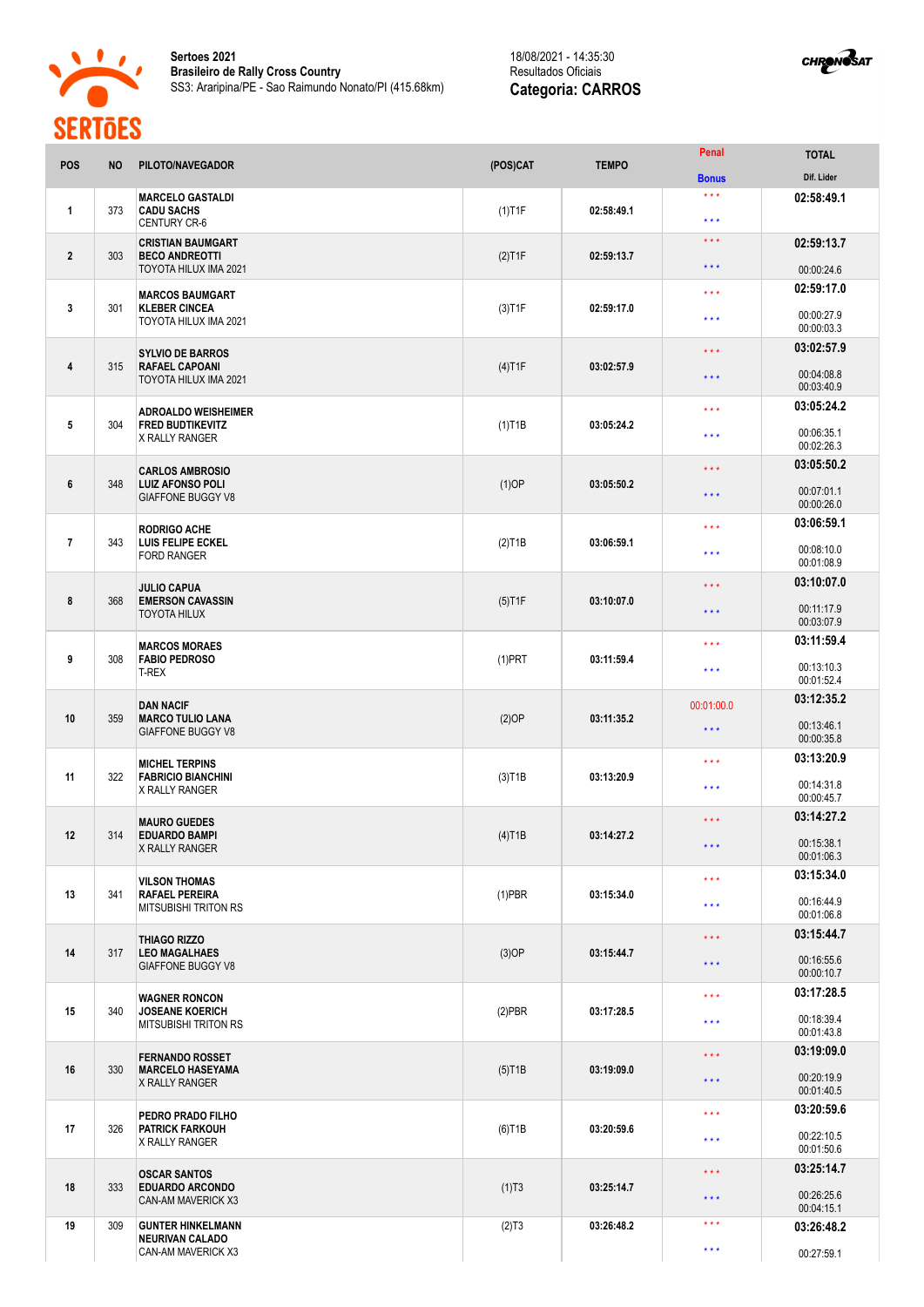



| <b>POS</b>       | <b>NO</b> | PILOTO/NAVEGADOR                                                              | (POS)CAT               | <b>TEMPO</b> | Penal                          | <b>TOTAL</b>             |
|------------------|-----------|-------------------------------------------------------------------------------|------------------------|--------------|--------------------------------|--------------------------|
|                  |           |                                                                               |                        |              | <b>Bonus</b>                   | Dif. Lider               |
| 1                | 373       | <b>MARCELO GASTALDI</b><br><b>CADU SACHS</b><br><b>CENTURY CR-6</b>           | $(1)$ T1F              | 02:58:49.1   | $\star \star \star$<br>$* * *$ | 02:58:49.1               |
| $\overline{2}$   | 303       | <b>CRISTIAN BAUMGART</b><br><b>BECO ANDREOTTI</b>                             | $(2)$ T1F              | 02:59:13.7   | $* * *$                        | 02:59:13.7               |
|                  |           | TOYOTA HILUX IMA 2021                                                         |                        |              | $\star \star \star$            | 00:00:24.6               |
| 3                | 301       | <b>MARCOS BAUMGART</b><br><b>KLEBER CINCEA</b><br>TOYOTA HILUX IMA 2021       | $(3)$ T1F              | 02:59:17.0   | $\star \star \star$            | 02:59:17.0               |
|                  |           |                                                                               |                        |              | $* * *$                        | 00:00:27.9<br>00:00:03.3 |
|                  | 315       | <b>SYLVIO DE BARROS</b><br><b>RAFAEL CAPOANI</b><br>TOYOTA HILUX IMA 2021     | $(4)$ T1F              | 03:02:57.9   | $* * *$                        | 03:02:57.9               |
| 4                |           |                                                                               |                        |              | $\star \star \star$            | 00:04:08.8<br>00:03:40.9 |
|                  |           | <b>ADROALDO WEISHEIMER</b>                                                    |                        | 03:05:24.2   | $\star \star \star$            | 03:05:24.2               |
| 5                | 304       | <b>FRED BUDTIKEVITZ</b><br>X RALLY RANGER                                     | $(1)$ T1B              |              | $\star \star \star$            | 00:06:35.1<br>00:02:26.3 |
|                  |           | <b>CARLOS AMBROSIO</b>                                                        |                        |              | $\star \star \star$            | 03:05:50.2               |
| $\boldsymbol{6}$ | 348       | <b>LUIZ AFONSO POLI</b><br><b>GIAFFONE BUGGY V8</b>                           | $(1)$ OP               | 03:05:50.2   | $\star \star \star$            | 00:07:01.1<br>00:00:26.0 |
|                  |           | <b>RODRIGO ACHE</b><br>LUIS FELIPE ECKEL<br><b>FORD RANGER</b>                |                        |              | $* * *$                        | 03:06:59.1               |
| $\overline{7}$   | 343       |                                                                               | $(2)$ T <sub>1</sub> B | 03:06:59.1   | $***$                          | 00:08:10.0<br>00:01:08.9 |
|                  |           | <b>JULIO CAPUA</b><br><b>EMERSON CAVASSIN</b><br><b>TOYOTA HILUX</b>          |                        |              | * * *                          | 03:10:07.0               |
| 8                | 368       |                                                                               | $(5)$ T1F              | 03:10:07.0   | $* * *$                        | 00:11:17.9<br>00:03:07.9 |
|                  | 308       | <b>MARCOS MORAES</b><br><b>FABIO PEDROSO</b><br><b>T-REX</b>                  |                        | 03:11:59.4   | $\star \star \star$            | 03:11:59.4               |
| 9                |           |                                                                               | $(1)$ PRT              |              | $\star \star \star$            | 00:13:10.3<br>00:01:52.4 |
|                  |           | <b>DAN NACIF</b>                                                              |                        |              | 00:01:00.0                     | 03:12:35.2               |
| 10               | 359       | <b>MARCO TULIO LANA</b><br><b>GIAFFONE BUGGY V8</b>                           | (2)OP                  | 03:11:35.2   | $\star \star \star$            | 00:13:46.1               |
|                  |           |                                                                               |                        |              |                                | 00:00:35.8<br>03:13:20.9 |
| 11               | 322       | <b>MICHEL TERPINS</b><br><b>FABRICIO BIANCHINI</b>                            | $(3)$ T <sub>1</sub> B | 03:13:20.9   | $* * *$                        |                          |
|                  |           | X RALLY RANGER                                                                |                        |              | $\star \star \star$            | 00:14:31.8<br>00:00:45.7 |
|                  | 314       | <b>MAURO GUEDES</b><br><b>EDUARDO BAMPI</b><br><b>X RALLY RANGER</b>          | $(4)$ T1B              | 03:14:27.2   | $\star \star \star$            | 03:14:27.2               |
| 12               |           |                                                                               |                        |              | $\star\star\star$              | 00:15:38.1<br>00:01:06.3 |
|                  |           | <b>VILSON THOMAS</b><br><b>RAFAEL PEREIRA</b><br><b>MITSUBISHI TRITON RS</b>  | $(1)$ PBR              | 03:15:34.0   | $\star \star \star$            | 03:15:34.0               |
| 13               | 341       |                                                                               |                        |              | $\star \star \star$            | 00:16:44.9<br>00:01:06.8 |
|                  |           | <b>THIAGO RIZZO</b>                                                           |                        |              | $\star$ $\star$ $\star$        | 03:15:44.7               |
| 14               | 317       | <b>LEO MAGALHAES</b><br><b>GIAFFONE BUGGY V8</b>                              | $(3)$ OP               | 03:15:44.7   | $\star \star \star$            | 00:16:55.6               |
|                  |           |                                                                               |                        |              | $\star\star\star$              | 00:00:10.7<br>03:17:28.5 |
| 15               | 340       | <b>WAGNER RONCON</b><br><b>JOSEANE KOERICH</b><br><b>MITSUBISHI TRITON RS</b> | $(2)$ PBR              | 03:17:28.5   | $\star \star \star$            | 00:18:39.4               |
|                  |           |                                                                               |                        |              |                                | 00:01:43.8<br>03:19:09.0 |
| 16               | 330       | <b>FERNANDO ROSSET</b><br><b>MARCELO HASEYAMA</b>                             | $(5)$ T1B              | 03:19:09.0   | $\star \star \star$            |                          |
|                  |           | <b>X RALLY RANGER</b>                                                         |                        |              | $\star \star \star$            | 00:20:19.9<br>00:01:40.5 |
| 17               |           | PEDRO PRADO FILHO                                                             |                        | 03:20:59.6   | $\star \star \star$            | 03:20:59.6               |
|                  | 326       | <b>PATRICK FARKOUH</b><br>X RALLY RANGER                                      | $(6)$ T1B              |              | $\star \star \star$            | 00:22:10.5<br>00:01:50.6 |
|                  | 333       | <b>OSCAR SANTOS</b><br><b>EDUARDO ARCONDO</b><br><b>CAN-AM MAVERICK X3</b>    | (1)T3                  | 03:25:14.7   | $* * *$                        | 03:25:14.7               |
| 18               |           |                                                                               |                        |              | $* * *$                        | 00:26:25.6<br>00:04:15.1 |
| 19               | 309       | <b>GUNTER HINKELMANN</b><br><b>NEURIVAN CALADO</b>                            | (2)T3                  | 03:26:48.2   | $***$                          | 03:26:48.2               |
|                  |           | CAN-AM MAVERICK X3                                                            |                        |              | $\star\star\star$              | 00:27:59.1               |